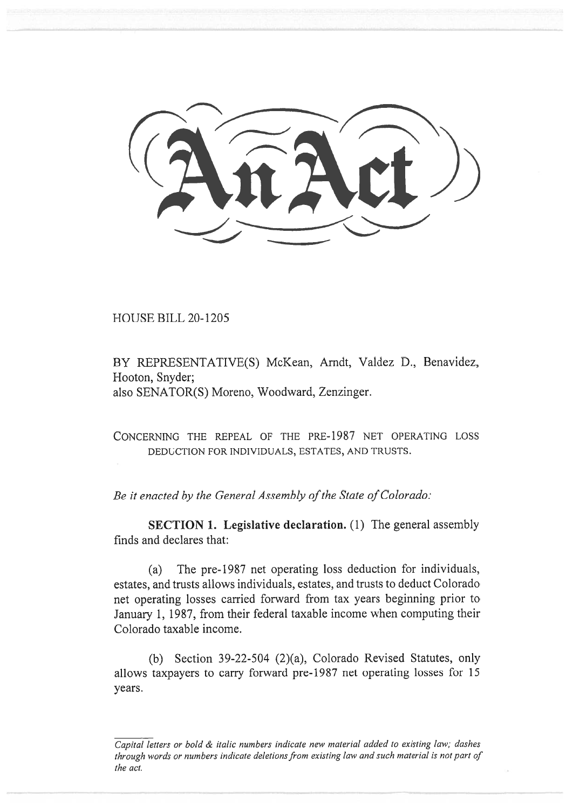HOUSE BILL 20-1205

BY REPRESENTATIVE(S) McKean, Arndt, Valdez D., Benavidez, Hooton, Snyder; also SENATOR(S) Moreno, Woodward, Zenzinger.

CONCERNING THE REPEAL OF THE PRE-1987 NET OPERATING LOSS DEDUCTION FOR INDIVIDUALS, ESTATES, AND TRUSTS.

*Be it enacted by the General Assembly of the State of Colorado:* 

**SECTION 1. Legislative declaration.** (1) The general assembly finds and declares that:

(a) The pre-1987 net operating loss deduction for individuals, estates, and trusts allows individuals, estates, and trusts to deduct Colorado net operating losses carried forward from tax years beginning prior to January 1, 1987, from their federal taxable income when computing their Colorado taxable income.

(b) Section 39-22-504 (2)(a), Colorado Revised Statutes, only allows taxpayers to carry forward pre-1987 net operating losses for 15 years.

*Capital letters or bold & italic numbers indicate new material added to existing law; dashes through words or numbers indicate deletions from existing law and such material is not part of the act.*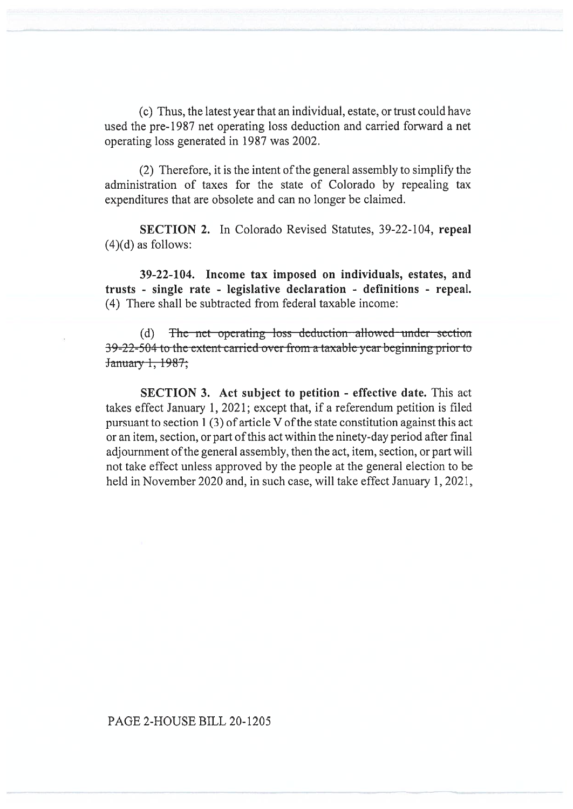(c) Thus, the latest year that an individual, estate, or trust could have used the pre-1987 net operating loss deduction and carried forward a net operating loss generated in 1987 was 2002.

(2) Therefore, it is the intent of the general assembly to simplify the administration of taxes for the state of Colorado by repealing tax expenditures that are obsolete and can no longer be claimed.

**SECTION 2.** In Colorado Revised Statutes, 39-22-104, **repeal**   $(4)(d)$  as follows:

**39-22-104. Income tax imposed on individuals, estates, and trusts - single rate - legislative declaration - definitions - repeal.**  (4) There shall be subtracted from federal taxable income:

(d) The net operating loss deduction allowed under section  $-39-22-504$  to the extent carried over from a taxable year beginning prior to  $\frac{9-22-504 \text{ to the}}{22}$ 

**SECTION 3. Act subject to petition - effective date.** This act takes effect January 1, 2021; except that, if a referendum petition is filed pursuant to section 1 (3) of article V of the state constitution against this act or an item, section, or part of this act within the ninety-day period after final adjournment of the general assembly, then the act, item, section, or part will not take effect unless approved by the people at the general election to be held in November 2020 and, in such case, will take effect January 1, 2021,

## PAGE 2-HOUSE BILL 20-1205